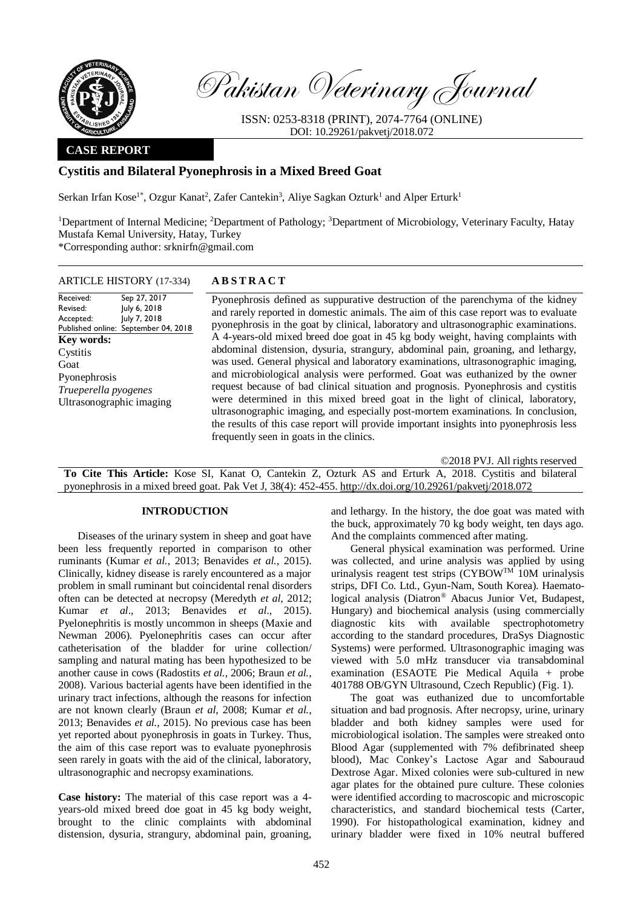

Pakistan Veterinary Journal

ISSN: 0253-8318 (PRINT), 2074-7764 (ONLINE) DOI: 10.29261/pakvetj/2018.072

# **CASE REPORT**

# **Cystitis and Bilateral Pyonephrosis in a Mixed Breed Goat**

Serkan Irfan Kose<sup>1\*</sup>, Ozgur Kanat<sup>2</sup>, Zafer Cantekin<sup>3</sup>, Aliye Sagkan Ozturk<sup>1</sup> and Alper Erturk<sup>1</sup>

<sup>1</sup>Department of Internal Medicine; <sup>2</sup>Department of Pathology; <sup>3</sup>Department of Microbiology, Veterinary Faculty, Hatay Mustafa Kemal University, Hatay, Turkey

\*Corresponding author: srknirfn@gmail.com

### ARTICLE HISTORY (17-334) **A B S T R A C T**

Received: Revised: Accepted: Published online: September 04, 2018 Sep 27, 2017 July 6, 2018 July 7, 2018 **Key words:**  Cystitis Goat Pyonephrosis *Trueperella pyogenes* Ultrasonographic imaging

Pyonephrosis defined as suppurative destruction of the parenchyma of the kidney and rarely reported in domestic animals. The aim of this case report was to evaluate pyonephrosis in the goat by clinical, laboratory and ultrasonographic examinations. A 4-years-old mixed breed doe goat in 45 kg body weight, having complaints with abdominal distension, dysuria, strangury, abdominal pain, groaning, and lethargy, was used. General physical and laboratory examinations, ultrasonographic imaging, and microbiological analysis were performed. Goat was euthanized by the owner request because of bad clinical situation and prognosis. Pyonephrosis and cystitis were determined in this mixed breed goat in the light of clinical, laboratory, ultrasonographic imaging, and especially post-mortem examinations. In conclusion, the results of this case report will provide important insights into pyonephrosis less frequently seen in goats in the clinics.

©2018 PVJ. All rights reserved **To Cite This Article:** Kose SI, Kanat O, Cantekin Z, Ozturk AS and Erturk A, 2018. Cystitis and bilateral pyonephrosis in a mixed breed goat. Pak Vet J, 38(4): 452-455. [http://dx.doi.org/10.29261/pakvetj/2018.072](http://pvj.com.pk/pdf-files/38_4/452-455.pdf) 

## **INTRODUCTION**

Diseases of the urinary system in sheep and goat have been less frequently reported in comparison to other ruminants (Kumar *et al.*, 2013; Benavides *et al.*, 2015). Clinically, kidney disease is rarely encountered as a major problem in small ruminant but coincidental renal disorders often can be detected at necropsy (Meredyth *et al*, 2012; Kumar *et al*., 2013; Benavides *et al*., 2015). Pyelonephritis is mostly uncommon in sheeps (Maxie and Newman 2006). Pyelonephritis cases can occur after catheterisation of the bladder for urine collection/ sampling and natural mating has been hypothesized to be another cause in cows (Radostits *et al.*, 2006; Braun *et al.*, 2008). Various bacterial agents have been identified in the urinary tract infections, although the reasons for infection are not known clearly (Braun *et al*, 2008; Kumar *et al.*, 2013; Benavides *et al.*, 2015). No previous case has been yet reported about pyonephrosis in goats in Turkey. Thus, the aim of this case report was to evaluate pyonephrosis seen rarely in goats with the aid of the clinical, laboratory, ultrasonographic and necropsy examinations.

**Case history:** The material of this case report was a 4 years-old mixed breed doe goat in 45 kg body weight, brought to the clinic complaints with abdominal distension, dysuria, strangury, abdominal pain, groaning, and lethargy. In the history, the doe goat was mated with the buck, approximately 70 kg body weight, ten days ago. And the complaints commenced after mating.

General physical examination was performed. Urine was collected, and urine analysis was applied by using urinalysis reagent test strips  $\overline{(CYBOW^{TM} 10M} )$  urinalysis strips, DFI Co. Ltd., Gyun-Nam, South Korea). Haematological analysis (Diatron® Abacus Junior Vet, Budapest, Hungary) and biochemical analysis (using commercially diagnostic kits with available spectrophotometry according to the standard procedures, DraSys Diagnostic Systems) were performed. Ultrasonographic imaging was viewed with 5.0 mHz transducer via transabdominal examination (ESAOTE Pie Medical Aquila + probe 401788 OB/GYN Ultrasound, Czech Republic) (Fig. 1).

The goat was euthanized due to uncomfortable situation and bad prognosis. After necropsy, urine, urinary bladder and both kidney samples were used for microbiological isolation. The samples were streaked onto Blood Agar (supplemented with 7% defibrinated sheep blood), Mac Conkey's Lactose Agar and Sabouraud Dextrose Agar. Mixed colonies were sub-cultured in new agar plates for the obtained pure culture. These colonies were identified according to macroscopic and microscopic characteristics, and standard biochemical tests (Carter, 1990). For histopathological examination, kidney and urinary bladder were fixed in 10% neutral buffered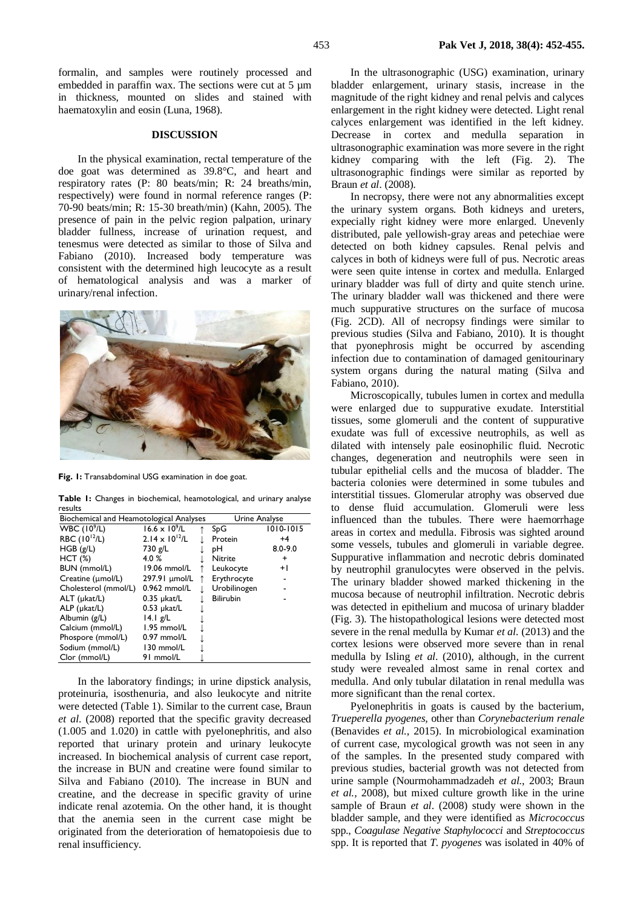formalin, and samples were routinely processed and embedded in paraffin wax. The sections were cut at 5  $\mu$ m in thickness, mounted on slides and stained with haematoxylin and eosin (Luna, 1968).

#### **DISCUSSION**

In the physical examination, rectal temperature of the doe goat was determined as 39.8°C, and heart and respiratory rates (P: 80 beats/min; R: 24 breaths/min, respectively) were found in normal reference ranges (P: 70-90 beats/min; R: 15-30 breath/min) (Kahn, 2005). The presence of pain in the pelvic region palpation, urinary bladder fullness, increase of urination request, and tenesmus were detected as similar to those of Silva and Fabiano (2010). Increased body temperature was consistent with the determined high leucocyte as a result of hematological analysis and was a marker of urinary/renal infection.



**Fig. 1:** Transabdominal USG examination in doe goat.

**Table 1:** Changes in biochemical, heamotological, and urinary analyse results

| Biochemical and Heamotological Analyses |                         |  | Urine Analyse    |             |
|-----------------------------------------|-------------------------|--|------------------|-------------|
| WBC $(10^9/L)$                          | $16.6 \times 10^{9}$ /L |  | SpG              | 1010-1015   |
| RBC (10 <sup>12</sup> /L)               | $2.14 \times 10^{12}/L$ |  | Protein          | $+4$        |
| HGB(g/L)                                | 730 g/L                 |  | pН               | $8.0 - 9.0$ |
| HCT(%)                                  | 4.0%                    |  | <b>Nitrite</b>   | +           |
| BUN (mmol/L)                            | 19.06 mmol/L            |  | Leukocyte        | $+1$        |
| Creatine (µmol/L)                       | 297.91 µmol/L           |  | Erythrocyte      |             |
| Cholesterol (mmol/L)                    | $0.962$ mmol/L          |  | Urobilinogen     |             |
| ALT (µkat/L)                            | $0.35$ µkat/L           |  | <b>Bilirubin</b> |             |
| ALP (µkat/L)                            | $0.53$ µkat/L           |  |                  |             |
| Albumin (g/L)                           | 4.1 g/L                 |  |                  |             |
| Calcium (mmol/L)                        | $1.95$ mmol/L           |  |                  |             |
| Phospore (mmol/L)                       | $0.97$ mmol/L           |  |                  |             |
| Sodium (mmol/L)                         | 130 mmol/L              |  |                  |             |
| Clor (mmol/L)                           | 91 mmol/L               |  |                  |             |

In the laboratory findings; in urine dipstick analysis, proteinuria, isosthenuria, and also leukocyte and nitrite were detected (Table 1). Similar to the current case, Braun *et al*. (2008) reported that the specific gravity decreased (1.005 and 1.020) in cattle with pyelonephritis, and also reported that urinary protein and urinary leukocyte increased. In biochemical analysis of current case report, the increase in BUN and creatine were found similar to Silva and Fabiano (2010). The increase in BUN and creatine, and the decrease in specific gravity of urine indicate renal azotemia. On the other hand, it is thought that the anemia seen in the current case might be originated from the deterioration of hematopoiesis due to renal insufficiency.

In the ultrasonographic (USG) examination, urinary bladder enlargement, urinary stasis, increase in the magnitude of the right kidney and renal pelvis and calyces enlargement in the right kidney were detected. Light renal calyces enlargement was identified in the left kidney. Decrease in cortex and medulla separation in ultrasonographic examination was more severe in the right kidney comparing with the left (Fig. 2). The ultrasonographic findings were similar as reported by Braun *et al*. (2008).

In necropsy, there were not any abnormalities except the urinary system organs. Both kidneys and ureters, expecially right kidney were more enlarged. Unevenly distributed, pale yellowish-gray areas and petechiae were detected on both kidney capsules. Renal pelvis and calyces in both of kidneys were full of pus. Necrotic areas were seen quite intense in cortex and medulla. Enlarged urinary bladder was full of dirty and quite stench urine. The urinary bladder wall was thickened and there were much suppurative structures on the surface of mucosa (Fig. 2CD). All of necropsy findings were similar to previous studies (Silva and Fabiano, 2010). It is thought that pyonephrosis might be occurred by ascending infection due to contamination of damaged genitourinary system organs during the natural mating (Silva and Fabiano, 2010).

Microscopically, tubules lumen in cortex and medulla were enlarged due to suppurative exudate. Interstitial tissues, some glomeruli and the content of suppurative exudate was full of excessive neutrophils, as well as dilated with intensely pale eosinophilic fluid. Necrotic changes, degeneration and neutrophils were seen in tubular epithelial cells and the mucosa of bladder. The bacteria colonies were determined in some tubules and interstitial tissues. Glomerular atrophy was observed due to dense fluid accumulation. Glomeruli were less influenced than the tubules. There were haemorrhage areas in cortex and medulla. Fibrosis was sighted around some vessels, tubules and glomeruli in variable degree. Suppurative inflammation and necrotic debris dominated by neutrophil granulocytes were observed in the pelvis. The urinary bladder showed marked thickening in the mucosa because of neutrophil infiltration. Necrotic debris was detected in epithelium and mucosa of urinary bladder (Fig. 3). The histopathological lesions were detected most severe in the renal medulla by Kumar *et al*. (2013) and the cortex lesions were observed more severe than in renal medulla by Isling *et al*. (2010), although, in the current study were revealed almost same in renal cortex and medulla. And only tubular dilatation in renal medulla was more significant than the renal cortex.

Pyelonephritis in goats is caused by the bacterium, *Trueperella pyogenes,* other than *Corynebacterium renale* (Benavides *et al.*, 2015). In microbiological examination of current case, mycological growth was not seen in any of the samples. In the presented study compared with previous studies, bacterial growth was not detected from urine sample (Nourmohammadzadeh *et al.*, 2003; Braun *et al.,* 2008), but mixed culture growth like in the urine sample of Braun *et al*. (2008) study were shown in the bladder sample, and they were identified as *Micrococcus* spp., *Coagulase Negative Staphylococci* and *Streptococcus*  spp. It is reported that *T. pyogenes* was isolated in 40% of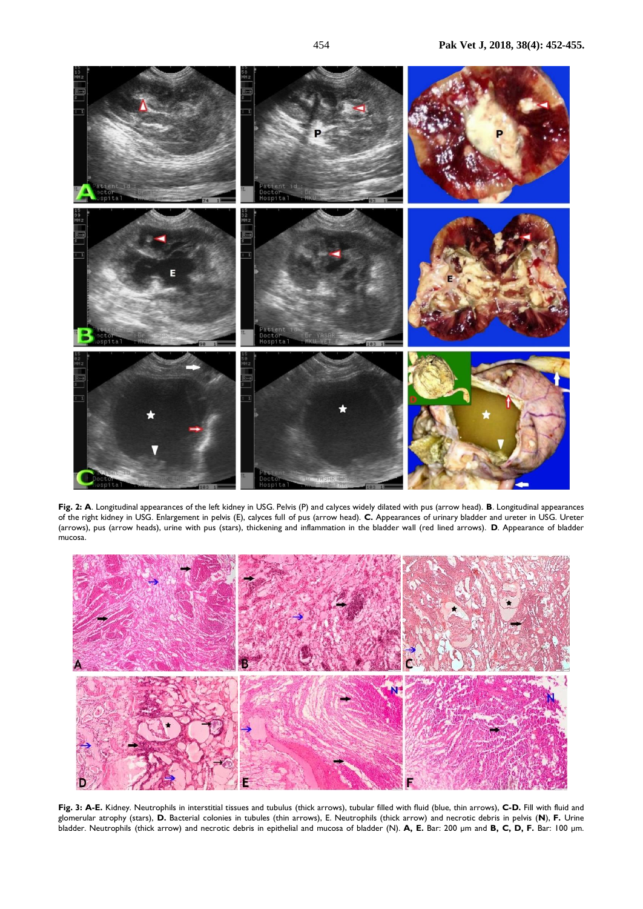

**Fig. 2: A**. Longitudinal appearances of the left kidney in USG. Pelvis (P) and calyces widely dilated with pus (arrow head). **B**. Longitudinal appearances of the right kidney in USG. Enlargement in pelvis (E), calyces full of pus (arrow head). **C.** Appearances of urinary bladder and ureter in USG. Ureter (arrows), pus (arrow heads), urine with pus (stars), thickening and inflammation in the bladder wall (red lined arrows). **D**. Appearance of bladder mucosa.



**Fig. 3: A-E.** Kidney. Neutrophils in interstitial tissues and tubulus (thick arrows), tubular filled with fluid (blue, thin arrows), **C-D.** Fill with fluid and glomerular atrophy (stars), **D.** Bacterial colonies in tubules (thin arrows), E. Neutrophils (thick arrow) and necrotic debris in pelvis (**N**), **F.** Urine bladder. Neutrophils (thick arrow) and necrotic debris in epithelial and mucosa of bladder (N). **A, E.** Bar: 200 µm and **B, C, D, F.** Bar: 100 µm.